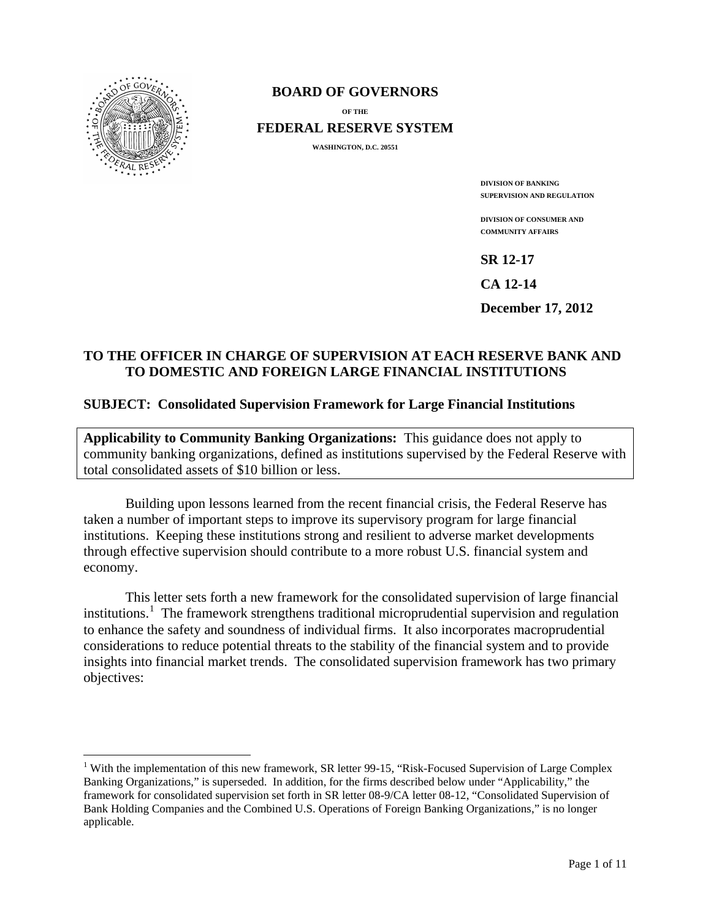

### **BOARD OF GOVERNORS**

**OF THE FEDERAL RESERVE SYSTEM**

**WASHINGTON, D.C. 20551**

**DIVISION OF BANKING SUPERVISION AND REGULATION**

**DIVISION OF CONSUMER AND COMMUNITY AFFAIRS**

**SR 12-17**

**CA 12-14**

**December 17, 2012**

## **TO THE OFFICER IN CHARGE OF SUPERVISION AT EACH RESERVE BANK AND TO DOMESTIC AND FOREIGN LARGE FINANCIAL INSTITUTIONS**

#### **SUBJECT: Consolidated Supervision Framework for Large Financial Institutions**

**Applicability to Community Banking Organizations:** This guidance does not apply to community banking organizations, defined as institutions supervised by the Federal Reserve with total consolidated assets of \$10 billion or less.

Building upon lessons learned from the recent financial crisis, the Federal Reserve has taken a number of important steps to improve its supervisory program for large financial institutions. Keeping these institutions strong and resilient to adverse market developments through effective supervision should contribute to a more robust U.S. financial system and economy.

This letter sets forth a new framework for the consolidated supervision of large financial institutions.<sup>[1](#page-0-0)</sup> The framework strengthens traditional microprudential supervision and regulation to enhance the safety and soundness of individual firms. It also incorporates macroprudential considerations to reduce potential threats to the stability of the financial system and to provide insights into financial market trends. The consolidated supervision framework has two primary objectives:

<span id="page-0-0"></span><sup>&</sup>lt;sup>1</sup> With the implementation of this new framework, SR letter 99-15, "Risk-Focused Supervision of Large Complex Banking Organizations," is superseded. In addition, for the firms described below under "Applicability," the framework for consolidated supervision set forth in SR letter 08-9/CA letter 08-12, "Consolidated Supervision of Bank Holding Companies and the Combined U.S. Operations of Foreign Banking Organizations," is no longer applicable.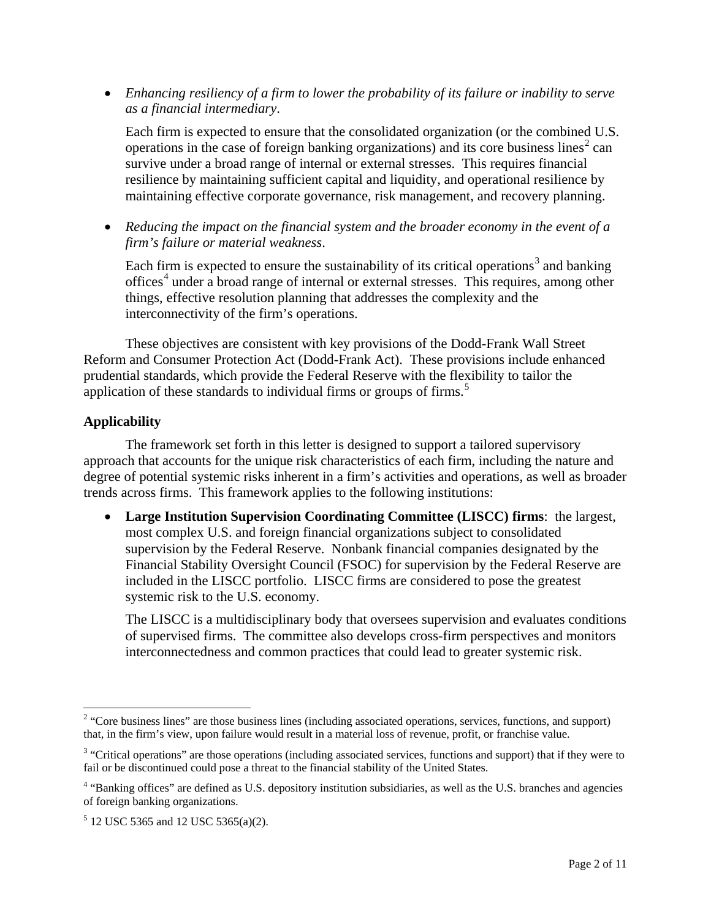• *Enhancing resiliency of a firm to lower the probability of its failure or inability to serve as a financial intermediary*.

Each firm is expected to ensure that the consolidated organization (or the combined U.S. operations in the case of foreign banking organizations) and its core business lines<sup>[2](#page-1-0)</sup> can survive under a broad range of internal or external stresses. This requires financial resilience by maintaining sufficient capital and liquidity, and operational resilience by maintaining effective corporate governance, risk management, and recovery planning.

• *Reducing the impact on the financial system and the broader economy in the event of a firm's failure or material weakness*.

Each firm is expected to ensure the sustainability of its critical operations<sup>[3](#page-1-1)</sup> and banking offices<sup>[4](#page-1-2)</sup> under a broad range of internal or external stresses. This requires, among other things, effective resolution planning that addresses the complexity and the interconnectivity of the firm's operations.

These objectives are consistent with key provisions of the Dodd-Frank Wall Street Reform and Consumer Protection Act (Dodd-Frank Act). These provisions include enhanced prudential standards, which provide the Federal Reserve with the flexibility to tailor the application of these standards to individual firms or groups of firms.<sup>[5](#page-1-3)</sup>

## **Applicability**

The framework set forth in this letter is designed to support a tailored supervisory approach that accounts for the unique risk characteristics of each firm, including the nature and degree of potential systemic risks inherent in a firm's activities and operations, as well as broader trends across firms. This framework applies to the following institutions:

• **Large Institution Supervision Coordinating Committee (LISCC) firms**: the largest, most complex U.S. and foreign financial organizations subject to consolidated supervision by the Federal Reserve. Nonbank financial companies designated by the Financial Stability Oversight Council (FSOC) for supervision by the Federal Reserve are included in the LISCC portfolio. LISCC firms are considered to pose the greatest systemic risk to the U.S. economy.

The LISCC is a multidisciplinary body that oversees supervision and evaluates conditions of supervised firms. The committee also develops cross-firm perspectives and monitors interconnectedness and common practices that could lead to greater systemic risk.

<span id="page-1-0"></span><sup>&</sup>lt;sup>2</sup> "Core business lines" are those business lines (including associated operations, services, functions, and support) that, in the firm's view, upon failure would result in a material loss of revenue, profit, or franchise value.

<span id="page-1-1"></span><sup>&</sup>lt;sup>3</sup> "Critical operations" are those operations (including associated services, functions and support) that if they were to fail or be discontinued could pose a threat to the financial stability of the United States.

<span id="page-1-2"></span><sup>&</sup>lt;sup>4</sup> "Banking offices" are defined as U.S. depository institution subsidiaries, as well as the U.S. branches and agencies of foreign banking organizations.

<span id="page-1-3"></span> $5$  12 USC 5365 and 12 USC 5365(a)(2).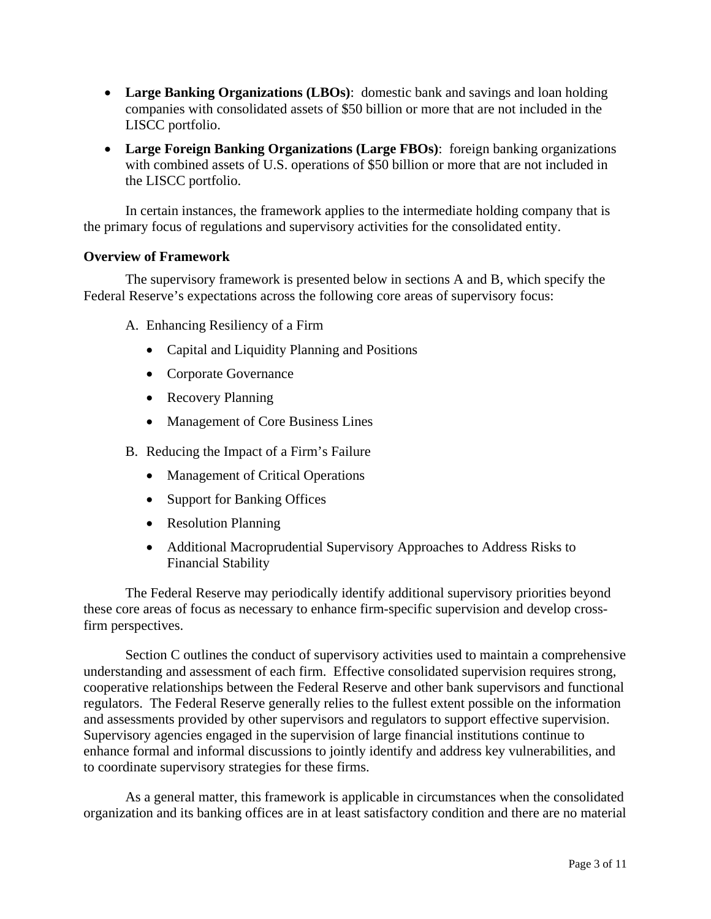- **Large Banking Organizations (LBOs)**: domestic bank and savings and loan holding companies with consolidated assets of \$50 billion or more that are not included in the LISCC portfolio.
- **Large Foreign Banking Organizations (Large FBOs)**: foreign banking organizations with combined assets of U.S. operations of \$50 billion or more that are not included in the LISCC portfolio.

In certain instances, the framework applies to the intermediate holding company that is the primary focus of regulations and supervisory activities for the consolidated entity.

## **Overview of Framework**

The supervisory framework is presented below in sections A and B, which specify the Federal Reserve's expectations across the following core areas of supervisory focus:

- A. Enhancing Resiliency of a Firm
	- Capital and Liquidity Planning and Positions
	- Corporate Governance
	- Recovery Planning
	- Management of Core Business Lines
- B. Reducing the Impact of a Firm's Failure
	- Management of Critical Operations
	- Support for Banking Offices
	- Resolution Planning
	- Additional Macroprudential Supervisory Approaches to Address Risks to Financial Stability

The Federal Reserve may periodically identify additional supervisory priorities beyond these core areas of focus as necessary to enhance firm-specific supervision and develop crossfirm perspectives.

Section C outlines the conduct of supervisory activities used to maintain a comprehensive understanding and assessment of each firm. Effective consolidated supervision requires strong, cooperative relationships between the Federal Reserve and other bank supervisors and functional regulators. The Federal Reserve generally relies to the fullest extent possible on the information and assessments provided by other supervisors and regulators to support effective supervision. Supervisory agencies engaged in the supervision of large financial institutions continue to enhance formal and informal discussions to jointly identify and address key vulnerabilities, and to coordinate supervisory strategies for these firms.

As a general matter, this framework is applicable in circumstances when the consolidated organization and its banking offices are in at least satisfactory condition and there are no material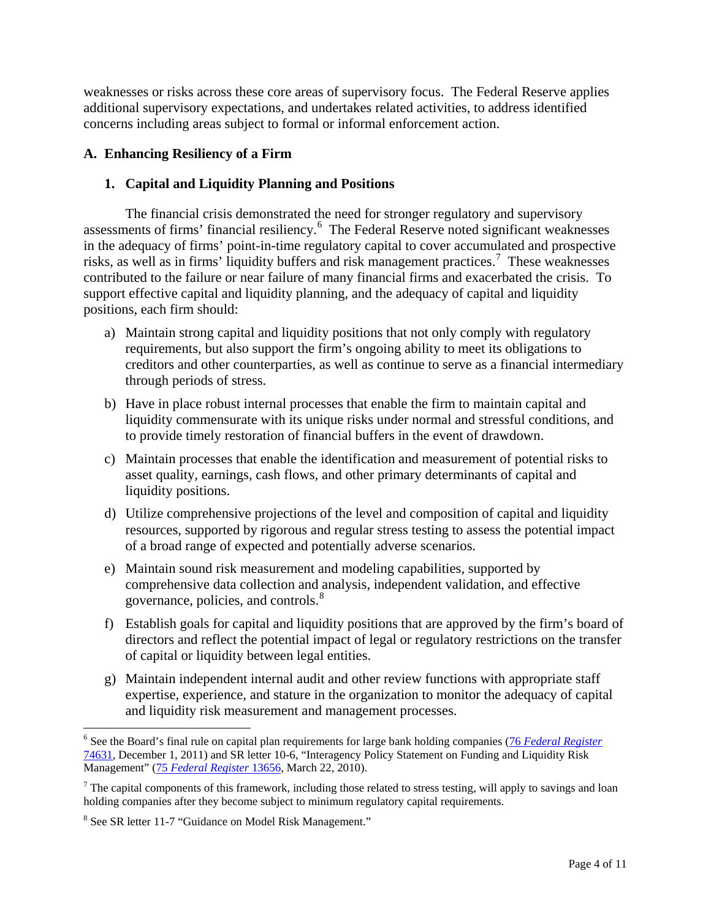weaknesses or risks across these core areas of supervisory focus. The Federal Reserve applies additional supervisory expectations, and undertakes related activities, to address identified concerns including areas subject to formal or informal enforcement action.

# **A. Enhancing Resiliency of a Firm**

## **1. Capital and Liquidity Planning and Positions**

The financial crisis demonstrated the need for stronger regulatory and supervisory assessments of firms' financial resiliency. [6](#page-3-0) The Federal Reserve noted significant weaknesses in the adequacy of firms' point-in-time regulatory capital to cover accumulated and prospective risks, as well as in firms' liquidity buffers and risk management practices. [7](#page-3-1) These weaknesses contributed to the failure or near failure of many financial firms and exacerbated the crisis. To support effective capital and liquidity planning, and the adequacy of capital and liquidity positions, each firm should:

- a) Maintain strong capital and liquidity positions that not only comply with regulatory requirements, but also support the firm's ongoing ability to meet its obligations to creditors and other counterparties, as well as continue to serve as a financial intermediary through periods of stress.
- b) Have in place robust internal processes that enable the firm to maintain capital and liquidity commensurate with its unique risks under normal and stressful conditions, and to provide timely restoration of financial buffers in the event of drawdown.
- c) Maintain processes that enable the identification and measurement of potential risks to asset quality, earnings, cash flows, and other primary determinants of capital and liquidity positions.
- d) Utilize comprehensive projections of the level and composition of capital and liquidity resources, supported by rigorous and regular stress testing to assess the potential impact of a broad range of expected and potentially adverse scenarios.
- e) Maintain sound risk measurement and modeling capabilities, supported by comprehensive data collection and analysis, independent validation, and effective governance, policies, and controls.<sup>[8](#page-3-2)</sup>
- f) Establish goals for capital and liquidity positions that are approved by the firm's board of directors and reflect the potential impact of legal or regulatory restrictions on the transfer of capital or liquidity between legal entities.
- g) Maintain independent internal audit and other review functions with appropriate staff expertise, experience, and stature in the organization to monitor the adequacy of capital and liquidity risk measurement and management processes.

<span id="page-3-0"></span> <sup>6</sup> See the Board's final rule on capital plan requirements for large bank holding companies (76 *[Federal Register](http://www.gpo.gov/fdsys/pkg/FR-2011-12-01/pdf/2011-30665.pdf)* [74631,](http://www.gpo.gov/fdsys/pkg/FR-2011-12-01/pdf/2011-30665.pdf) December 1, 2011) and SR letter 10-6, "Interagency Policy Statement on Funding and Liquidity Risk Management" (75 *[Federal Register](http://www.gpo.gov/fdsys/pkg/FR-2010-03-22/pdf/2010-6137.pdf)* 13656, March 22, 2010).

<span id="page-3-1"></span><sup>&</sup>lt;sup>7</sup> The capital components of this framework, including those related to stress testing, will apply to savings and loan holding companies after they become subject to minimum regulatory capital requirements.

<span id="page-3-2"></span><sup>8</sup> See SR letter 11-7 "Guidance on Model Risk Management."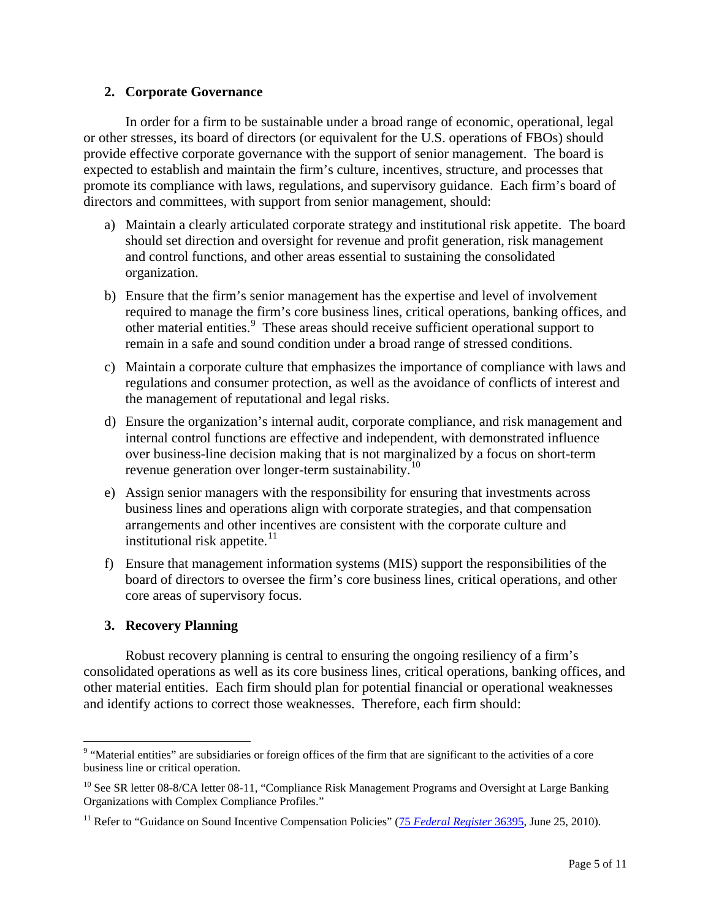#### **2. Corporate Governance**

In order for a firm to be sustainable under a broad range of economic, operational, legal or other stresses, its board of directors (or equivalent for the U.S. operations of FBOs) should provide effective corporate governance with the support of senior management. The board is expected to establish and maintain the firm's culture, incentives, structure, and processes that promote its compliance with laws, regulations, and supervisory guidance. Each firm's board of directors and committees, with support from senior management, should:

- a) Maintain a clearly articulated corporate strategy and institutional risk appetite. The board should set direction and oversight for revenue and profit generation, risk management and control functions, and other areas essential to sustaining the consolidated organization.
- b) Ensure that the firm's senior management has the expertise and level of involvement required to manage the firm's core business lines, critical operations, banking offices, and other material entities. [9](#page-4-0) These areas should receive sufficient operational support to remain in a safe and sound condition under a broad range of stressed conditions.
- c) Maintain a corporate culture that emphasizes the importance of compliance with laws and regulations and consumer protection, as well as the avoidance of conflicts of interest and the management of reputational and legal risks.
- d) Ensure the organization's internal audit, corporate compliance, and risk management and internal control functions are effective and independent, with demonstrated influence over business-line decision making that is not marginalized by a focus on short-term revenue generation over longer-term sustainability.<sup>[10](#page-4-1)</sup>
- e) Assign senior managers with the responsibility for ensuring that investments across business lines and operations align with corporate strategies, and that compensation arrangements and other incentives are consistent with the corporate culture and institutional risk appetite.<sup>[11](#page-4-2)</sup>
- f) Ensure that management information systems (MIS) support the responsibilities of the board of directors to oversee the firm's core business lines, critical operations, and other core areas of supervisory focus.

# **3. Recovery Planning**

Robust recovery planning is central to ensuring the ongoing resiliency of a firm's consolidated operations as well as its core business lines, critical operations, banking offices, and other material entities. Each firm should plan for potential financial or operational weaknesses and identify actions to correct those weaknesses. Therefore, each firm should:

<span id="page-4-0"></span><sup>&</sup>lt;sup>9</sup> "Material entities" are subsidiaries or foreign offices of the firm that are significant to the activities of a core business line or critical operation.

<span id="page-4-1"></span><sup>&</sup>lt;sup>10</sup> See SR letter 08-8/CA letter 08-11, "Compliance Risk Management Programs and Oversight at Large Banking Organizations with Complex Compliance Profiles."

<span id="page-4-2"></span><sup>&</sup>lt;sup>11</sup> Refer to "Guidance on Sound Incentive Compensation Policies" (75 *[Federal Register](http://edocket.access.gpo.gov/2010/pdf/2010-15435.pdf)* 36395, June 25, 2010).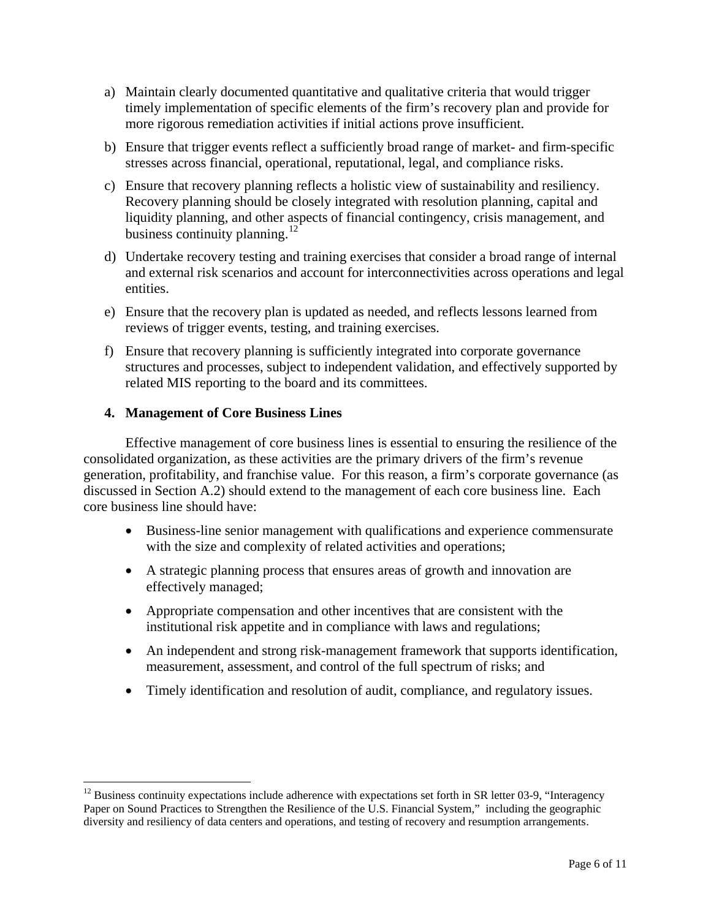- a) Maintain clearly documented quantitative and qualitative criteria that would trigger timely implementation of specific elements of the firm's recovery plan and provide for more rigorous remediation activities if initial actions prove insufficient.
- b) Ensure that trigger events reflect a sufficiently broad range of market- and firm-specific stresses across financial, operational, reputational, legal, and compliance risks.
- c) Ensure that recovery planning reflects a holistic view of sustainability and resiliency. Recovery planning should be closely integrated with resolution planning, capital and liquidity planning, and other aspects of financial contingency, crisis management, and business continuity planning.<sup>[12](#page-5-0)</sup>
- d) Undertake recovery testing and training exercises that consider a broad range of internal and external risk scenarios and account for interconnectivities across operations and legal entities.
- e) Ensure that the recovery plan is updated as needed, and reflects lessons learned from reviews of trigger events, testing, and training exercises.
- f) Ensure that recovery planning is sufficiently integrated into corporate governance structures and processes, subject to independent validation, and effectively supported by related MIS reporting to the board and its committees.

### **4. Management of Core Business Lines**

Effective management of core business lines is essential to ensuring the resilience of the consolidated organization, as these activities are the primary drivers of the firm's revenue generation, profitability, and franchise value. For this reason, a firm's corporate governance (as discussed in Section A.2) should extend to the management of each core business line. Each core business line should have:

- Business-line senior management with qualifications and experience commensurate with the size and complexity of related activities and operations;
- A strategic planning process that ensures areas of growth and innovation are effectively managed;
- Appropriate compensation and other incentives that are consistent with the institutional risk appetite and in compliance with laws and regulations;
- An independent and strong risk-management framework that supports identification, measurement, assessment, and control of the full spectrum of risks; and
- Timely identification and resolution of audit, compliance, and regulatory issues.

<span id="page-5-0"></span> $12$  Business continuity expectations include adherence with expectations set forth in SR letter 03-9, "Interagency Paper on Sound Practices to Strengthen the Resilience of the U.S. Financial System," including the geographic diversity and resiliency of data centers and operations, and testing of recovery and resumption arrangements.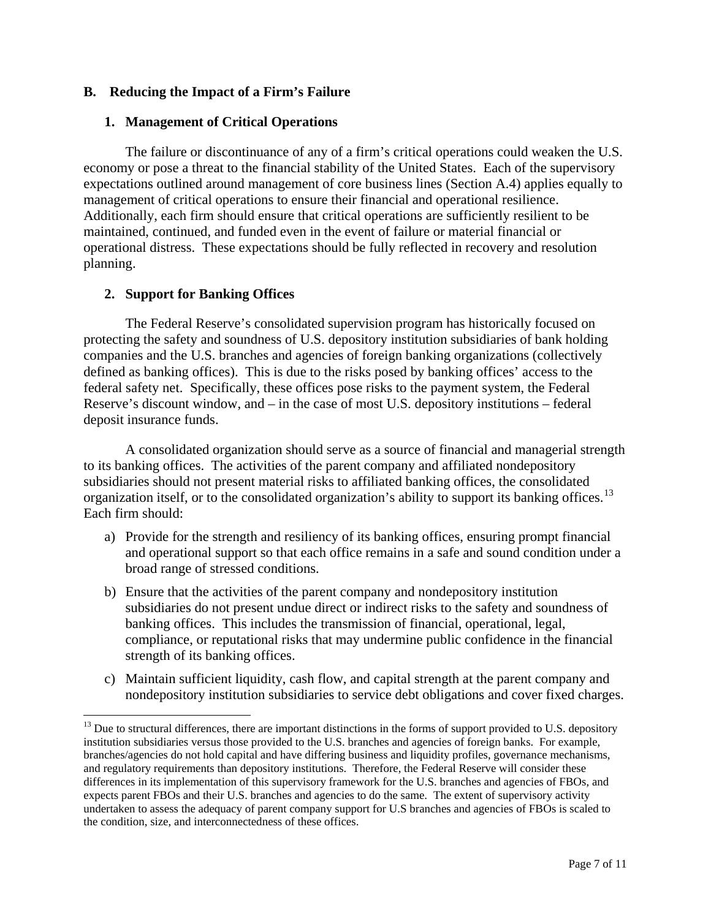### **B. Reducing the Impact of a Firm's Failure**

### **1. Management of Critical Operations**

The failure or discontinuance of any of a firm's critical operations could weaken the U.S. economy or pose a threat to the financial stability of the United States. Each of the supervisory expectations outlined around management of core business lines (Section A.4) applies equally to management of critical operations to ensure their financial and operational resilience. Additionally, each firm should ensure that critical operations are sufficiently resilient to be maintained, continued, and funded even in the event of failure or material financial or operational distress. These expectations should be fully reflected in recovery and resolution planning.

## **2. Support for Banking Offices**

The Federal Reserve's consolidated supervision program has historically focused on protecting the safety and soundness of U.S. depository institution subsidiaries of bank holding companies and the U.S. branches and agencies of foreign banking organizations (collectively defined as banking offices). This is due to the risks posed by banking offices' access to the federal safety net. Specifically, these offices pose risks to the payment system, the Federal Reserve's discount window, and – in the case of most U.S. depository institutions – federal deposit insurance funds.

A consolidated organization should serve as a source of financial and managerial strength to its banking offices. The activities of the parent company and affiliated nondepository subsidiaries should not present material risks to affiliated banking offices, the consolidated organization itself, or to the consolidated organization's ability to support its banking offices.<sup>[13](#page-6-0)</sup> Each firm should:

- a) Provide for the strength and resiliency of its banking offices, ensuring prompt financial and operational support so that each office remains in a safe and sound condition under a broad range of stressed conditions.
- b) Ensure that the activities of the parent company and nondepository institution subsidiaries do not present undue direct or indirect risks to the safety and soundness of banking offices. This includes the transmission of financial, operational, legal, compliance, or reputational risks that may undermine public confidence in the financial strength of its banking offices.
- c) Maintain sufficient liquidity, cash flow, and capital strength at the parent company and nondepository institution subsidiaries to service debt obligations and cover fixed charges.

<span id="page-6-0"></span> $13$  Due to structural differences, there are important distinctions in the forms of support provided to U.S. depository institution subsidiaries versus those provided to the U.S. branches and agencies of foreign banks. For example, branches/agencies do not hold capital and have differing business and liquidity profiles, governance mechanisms, and regulatory requirements than depository institutions. Therefore, the Federal Reserve will consider these differences in its implementation of this supervisory framework for the U.S. branches and agencies of FBOs, and expects parent FBOs and their U.S. branches and agencies to do the same. The extent of supervisory activity undertaken to assess the adequacy of parent company support for U.S branches and agencies of FBOs is scaled to the condition, size, and interconnectedness of these offices.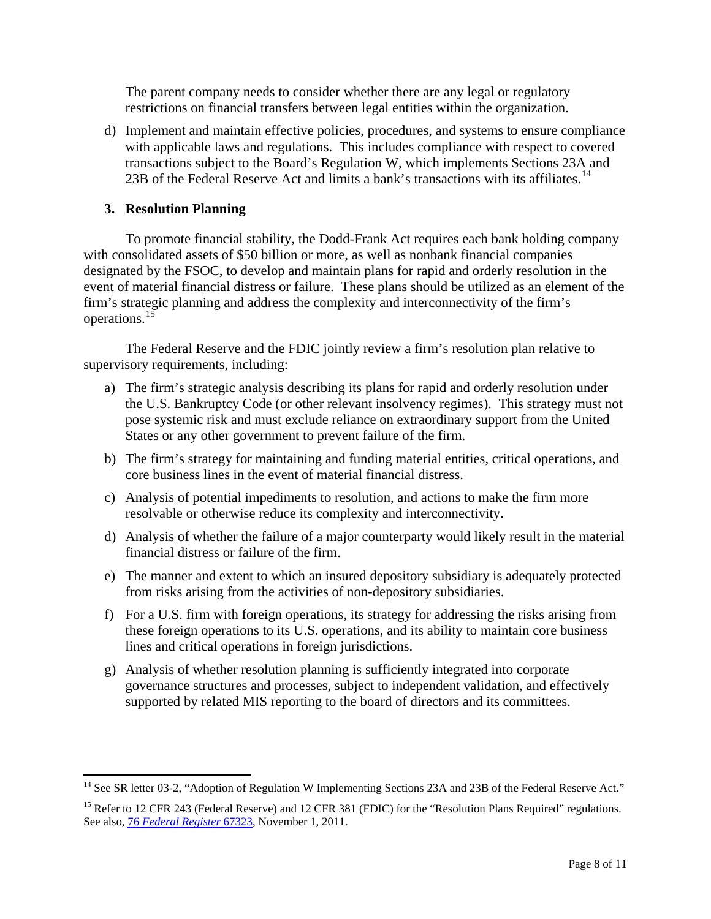The parent company needs to consider whether there are any legal or regulatory restrictions on financial transfers between legal entities within the organization.

d) Implement and maintain effective policies, procedures, and systems to ensure compliance with applicable laws and regulations. This includes compliance with respect to covered transactions subject to the Board's Regulation W, which implements Sections 23A and 23B of the Federal Reserve Act and limits a bank's transactions with its affiliates.<sup>[14](#page-7-0)</sup>

## **3. Resolution Planning**

To promote financial stability, the Dodd-Frank Act requires each bank holding company with consolidated assets of \$50 billion or more, as well as nonbank financial companies designated by the FSOC, to develop and maintain plans for rapid and orderly resolution in the event of material financial distress or failure. These plans should be utilized as an element of the firm's strategic planning and address the complexity and interconnectivity of the firm's operations.<sup>15</sup>

The Federal Reserve and the FDIC jointly review a firm's resolution plan relative to supervisory requirements, including:

- a) The firm's strategic analysis describing its plans for rapid and orderly resolution under the U.S. Bankruptcy Code (or other relevant insolvency regimes). This strategy must not pose systemic risk and must exclude reliance on extraordinary support from the United States or any other government to prevent failure of the firm.
- b) The firm's strategy for maintaining and funding material entities, critical operations, and core business lines in the event of material financial distress.
- c) Analysis of potential impediments to resolution, and actions to make the firm more resolvable or otherwise reduce its complexity and interconnectivity.
- d) Analysis of whether the failure of a major counterparty would likely result in the material financial distress or failure of the firm.
- e) The manner and extent to which an insured depository subsidiary is adequately protected from risks arising from the activities of non-depository subsidiaries.
- f) For a U.S. firm with foreign operations, its strategy for addressing the risks arising from these foreign operations to its U.S. operations, and its ability to maintain core business lines and critical operations in foreign jurisdictions.
- g) Analysis of whether resolution planning is sufficiently integrated into corporate governance structures and processes, subject to independent validation, and effectively supported by related MIS reporting to the board of directors and its committees.

<span id="page-7-0"></span><sup>&</sup>lt;sup>14</sup> See SR letter 03-2, "Adoption of Regulation W Implementing Sections 23A and 23B of the Federal Reserve Act."

<span id="page-7-1"></span><sup>&</sup>lt;sup>15</sup> Refer to 12 CFR 243 (Federal Reserve) and 12 CFR 381 (FDIC) for the "Resolution Plans Required" regulations. See also, 76 *[Federal Register](http://www.gpo.gov/fdsys/pkg/FR-2011-11-01/pdf/2011-27377.pdf)* 67323, November 1, 2011.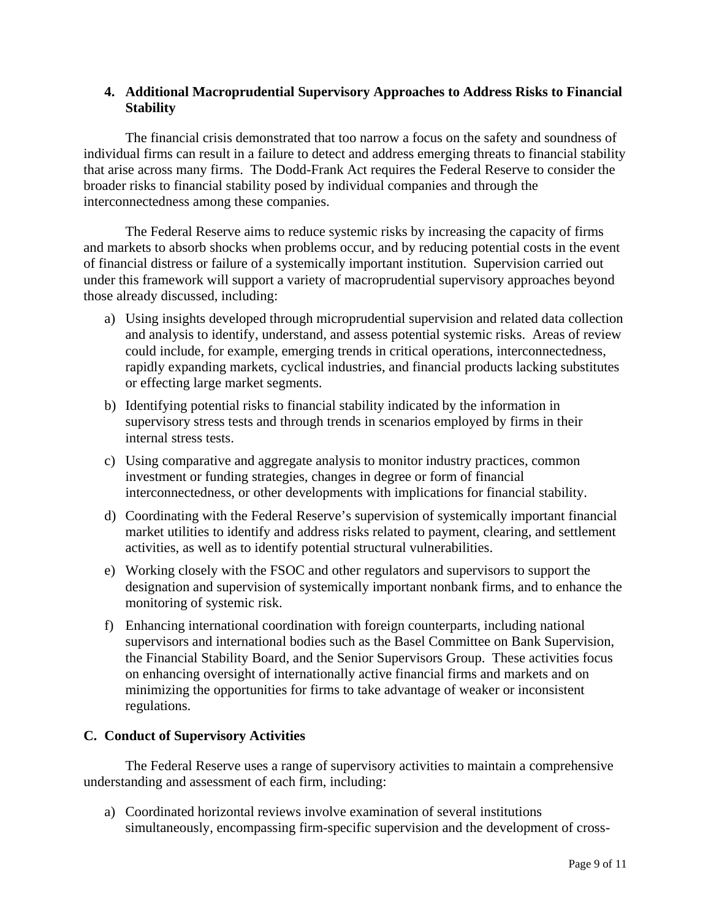## **4. Additional Macroprudential Supervisory Approaches to Address Risks to Financial Stability**

The financial crisis demonstrated that too narrow a focus on the safety and soundness of individual firms can result in a failure to detect and address emerging threats to financial stability that arise across many firms. The Dodd-Frank Act requires the Federal Reserve to consider the broader risks to financial stability posed by individual companies and through the interconnectedness among these companies.

The Federal Reserve aims to reduce systemic risks by increasing the capacity of firms and markets to absorb shocks when problems occur, and by reducing potential costs in the event of financial distress or failure of a systemically important institution. Supervision carried out under this framework will support a variety of macroprudential supervisory approaches beyond those already discussed, including:

- a) Using insights developed through microprudential supervision and related data collection and analysis to identify, understand, and assess potential systemic risks. Areas of review could include, for example, emerging trends in critical operations, interconnectedness, rapidly expanding markets, cyclical industries, and financial products lacking substitutes or effecting large market segments.
- b) Identifying potential risks to financial stability indicated by the information in supervisory stress tests and through trends in scenarios employed by firms in their internal stress tests.
- c) Using comparative and aggregate analysis to monitor industry practices, common investment or funding strategies, changes in degree or form of financial interconnectedness, or other developments with implications for financial stability.
- d) Coordinating with the Federal Reserve's supervision of systemically important financial market utilities to identify and address risks related to payment, clearing, and settlement activities, as well as to identify potential structural vulnerabilities.
- e) Working closely with the FSOC and other regulators and supervisors to support the designation and supervision of systemically important nonbank firms, and to enhance the monitoring of systemic risk.
- f) Enhancing international coordination with foreign counterparts, including national supervisors and international bodies such as the Basel Committee on Bank Supervision, the Financial Stability Board, and the Senior Supervisors Group. These activities focus on enhancing oversight of internationally active financial firms and markets and on minimizing the opportunities for firms to take advantage of weaker or inconsistent regulations.

### **C. Conduct of Supervisory Activities**

The Federal Reserve uses a range of supervisory activities to maintain a comprehensive understanding and assessment of each firm, including:

a) Coordinated horizontal reviews involve examination of several institutions simultaneously, encompassing firm-specific supervision and the development of cross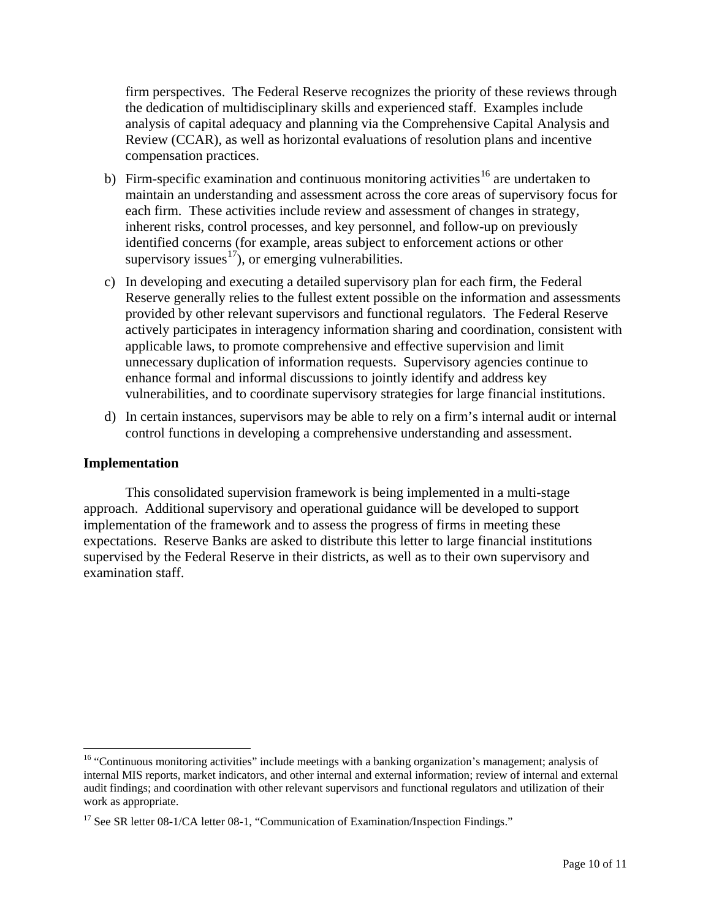firm perspectives. The Federal Reserve recognizes the priority of these reviews through the dedication of multidisciplinary skills and experienced staff. Examples include analysis of capital adequacy and planning via the Comprehensive Capital Analysis and Review (CCAR), as well as horizontal evaluations of resolution plans and incentive compensation practices.

- b) Firm-specific examination and continuous monitoring activities<sup>[16](#page-9-0)</sup> are undertaken to maintain an understanding and assessment across the core areas of supervisory focus for each firm. These activities include review and assessment of changes in strategy, inherent risks, control processes, and key personnel, and follow-up on previously identified concerns (for example, areas subject to enforcement actions or other supervisory issues $\overrightarrow{17}$  $\overrightarrow{17}$  $\overrightarrow{17}$ , or emerging vulnerabilities.
- c) In developing and executing a detailed supervisory plan for each firm, the Federal Reserve generally relies to the fullest extent possible on the information and assessments provided by other relevant supervisors and functional regulators. The Federal Reserve actively participates in interagency information sharing and coordination, consistent with applicable laws, to promote comprehensive and effective supervision and limit unnecessary duplication of information requests. Supervisory agencies continue to enhance formal and informal discussions to jointly identify and address key vulnerabilities, and to coordinate supervisory strategies for large financial institutions.
- d) In certain instances, supervisors may be able to rely on a firm's internal audit or internal control functions in developing a comprehensive understanding and assessment.

#### **Implementation**

This consolidated supervision framework is being implemented in a multi-stage approach. Additional supervisory and operational guidance will be developed to support implementation of the framework and to assess the progress of firms in meeting these expectations. Reserve Banks are asked to distribute this letter to large financial institutions supervised by the Federal Reserve in their districts, as well as to their own supervisory and examination staff.

<span id="page-9-0"></span><sup>&</sup>lt;sup>16</sup> "Continuous monitoring activities" include meetings with a banking organization's management; analysis of internal MIS reports, market indicators, and other internal and external information; review of internal and external audit findings; and coordination with other relevant supervisors and functional regulators and utilization of their work as appropriate.

<span id="page-9-1"></span><sup>&</sup>lt;sup>17</sup> See SR letter 08-1/CA letter 08-1, "Communication of Examination/Inspection Findings."